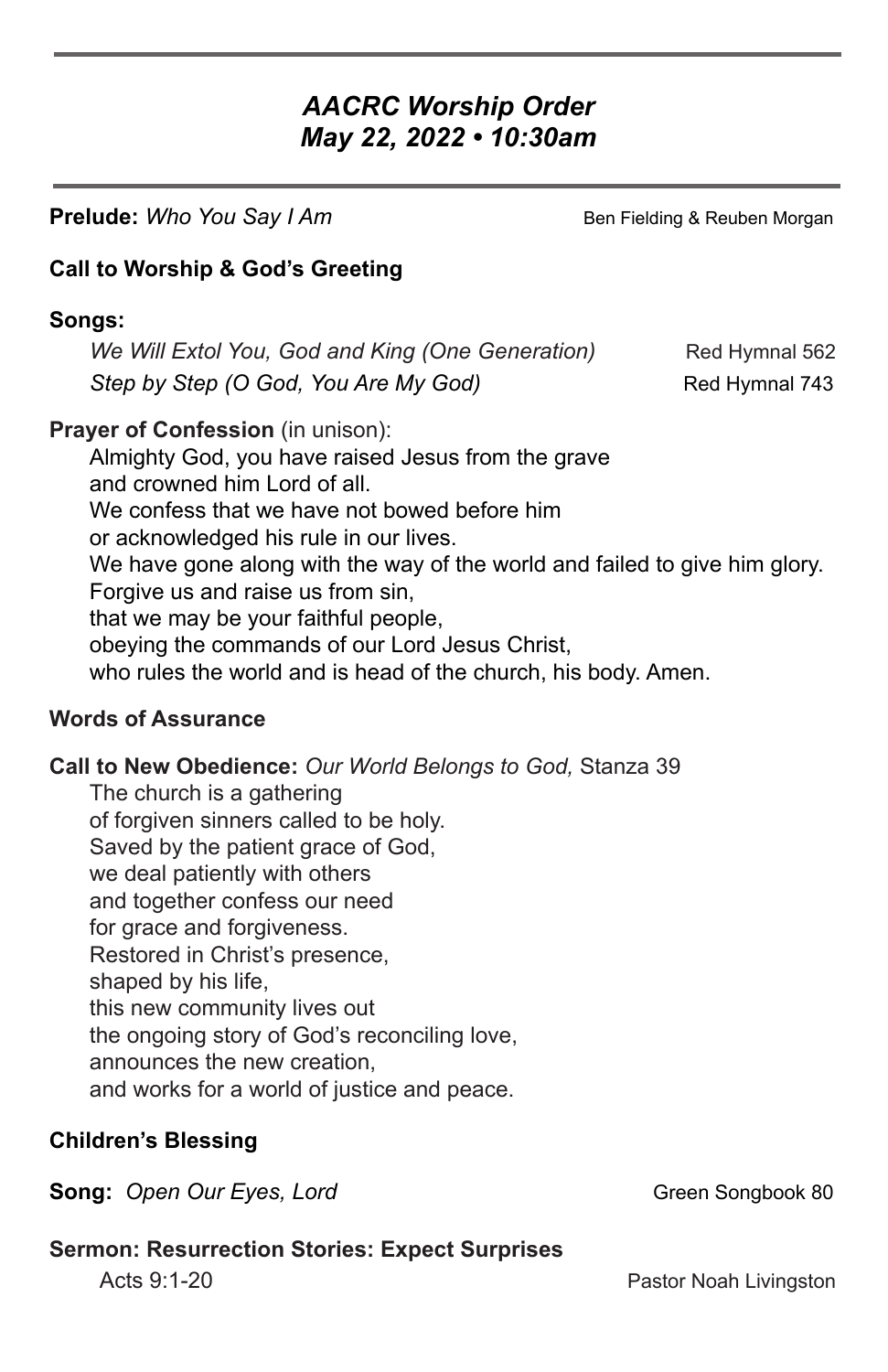# *AACRC Worship Order May 22, 2022 • 10:30am*

**Prelude:** *Who You Say I Am* Ben Fielding & Reuben Morgan

# **Call to Worship & God's Greeting**

# **Songs:**

*We Will Extol You, God and King (One Generation)* Red Hymnal 562 *Step by Step (O God, You Are My God)* Red Hymnal 743

# **Prayer of Confession** (in unison):

Almighty God, you have raised Jesus from the grave and crowned him Lord of all. We confess that we have not bowed before him or acknowledged his rule in our lives. We have gone along with the way of the world and failed to give him glory. Forgive us and raise us from sin, that we may be your faithful people, obeying the commands of our Lord Jesus Christ, who rules the world and is head of the church, his body. Amen.

# **Words of Assurance**

# **Call to New Obedience:** *Our World Belongs to God,* Stanza 39

The church is a gathering of forgiven sinners called to be holy. Saved by the patient grace of God, we deal patiently with others and together confess our need for grace and forgiveness. Restored in Christ's presence, shaped by his life, this new community lives out the ongoing story of God's reconciling love, announces the new creation, and works for a world of justice and peace.

# **Children's Blessing**

**Song:** Open Our Eyes, Lord Green Songbook 80

**Sermon: Resurrection Stories: Expect Surprises**

Acts 9:1-20 **Pastor Noah Livingston**